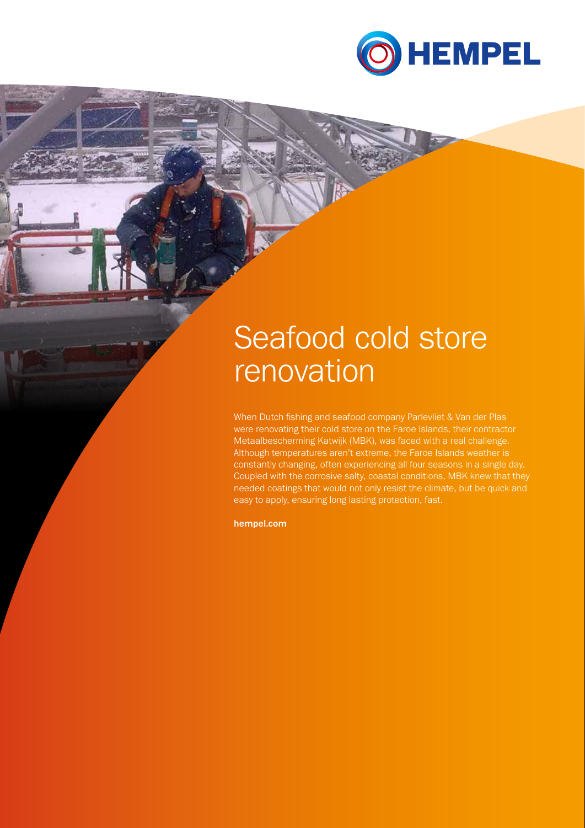

# Seafood cold store renovation

When Dutch fishing and seafood company Parlevliet & Van der Plas were renovating their cold store on the Faroe Islands, their contractor Metaalbescherming Katwijk (MBK), was faced with a real challenge. Although temperatures aren't extreme, the Faroe Islands weather is constantly changing, often experiencing all four seasons in a single day. Coupled with the corrosive salty, coastal conditions, MBK knew that they needed coatings that would not only resist the climate, but be quick and easy to apply, ensuring long lasting protection, fast.

hempel.com